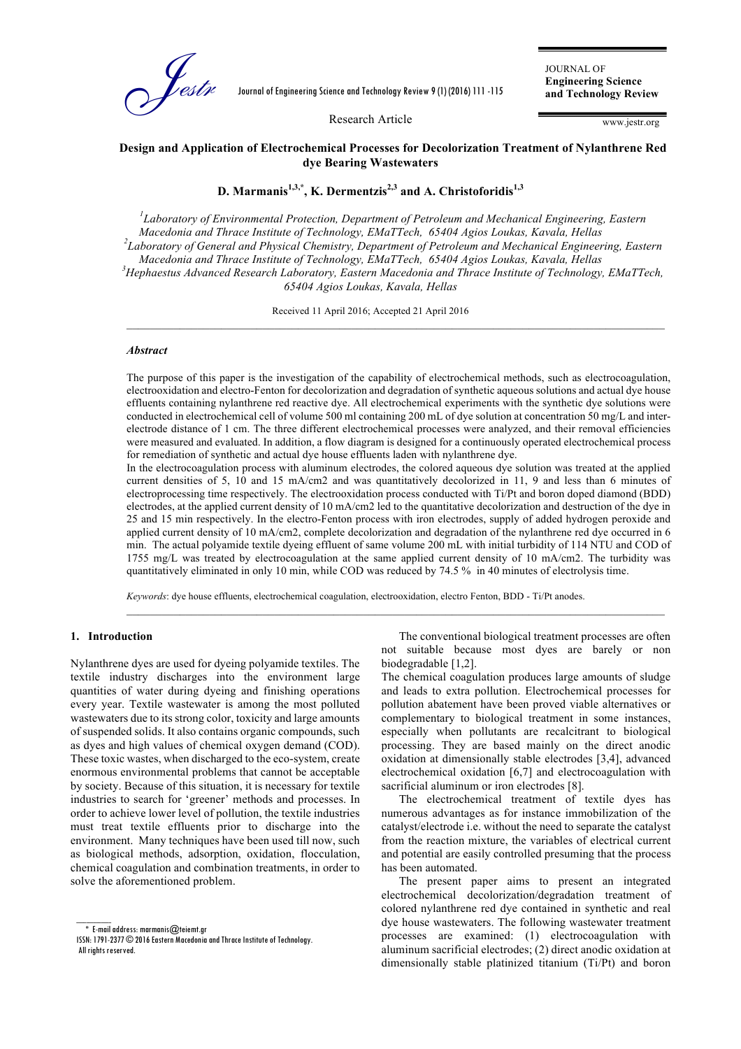

Journal of Engineering Science and Technology Review 9 (1) (2016) 111 -115

JOURNAL OF **Engineering Science and Technology Review**

Research Article

www.jestr.org

# **Design and Application of Electrochemical Processes for Decolorization Treatment of Nylanthrene Red dye Bearing Wastewaters**

# **D. Marmanis1,3,\*, K. Dermentzis2,3 and A. Christoforidis1,3**

*1 Laboratory of Environmental Protection, Department of Petroleum and Mechanical Engineering, Eastern Macedonia and Thrace Institute of Technology, EMaTTech, 65404 Agios Loukas, Kavala, Hellas <sup>2</sup> Laboratory of General and Physical Chemistry, Department of Petroleum and Mechanical Engineering, Eastern Macedonia and Thrace Institute of Technology, EMaTTech, 65404 Agios Loukas, Kavala, Hellas <sup>3</sup> Hephaestus Advanced Research Laboratory, Eastern Macedonia and Thrace Institute of Technology, EMaTTech, 65404 Agios Loukas, Kavala, Hellas*

 $\mathcal{L}_\mathcal{L} = \mathcal{L}_\mathcal{L} = \mathcal{L}_\mathcal{L} = \mathcal{L}_\mathcal{L} = \mathcal{L}_\mathcal{L} = \mathcal{L}_\mathcal{L} = \mathcal{L}_\mathcal{L} = \mathcal{L}_\mathcal{L} = \mathcal{L}_\mathcal{L} = \mathcal{L}_\mathcal{L} = \mathcal{L}_\mathcal{L} = \mathcal{L}_\mathcal{L} = \mathcal{L}_\mathcal{L} = \mathcal{L}_\mathcal{L} = \mathcal{L}_\mathcal{L} = \mathcal{L}_\mathcal{L} = \mathcal{L}_\mathcal{L}$ 

Received 11 April 2016; Accepted 21 April 2016

## *Abstract*

The purpose of this paper is the investigation of the capability of electrochemical methods, such as electrocoagulation, electrooxidation and electro-Fenton for decolorization and degradation of synthetic aqueous solutions and actual dye house effluents containing nylanthrene red reactive dye. All electrochemical experiments with the synthetic dye solutions were conducted in electrochemical cell of volume 500 ml containing 200 mL of dye solution at concentration 50 mg/L and interelectrode distance of 1 cm. The three different electrochemical processes were analyzed, and their removal efficiencies were measured and evaluated. In addition, a flow diagram is designed for a continuously operated electrochemical process for remediation of synthetic and actual dye house effluents laden with nylanthrene dye.

In the electrocoagulation process with aluminum electrodes, the colored aqueous dye solution was treated at the applied current densities of 5, 10 and 15 mA/cm2 and was quantitatively decolorized in 11, 9 and less than 6 minutes of electroprocessing time respectively. The electrooxidation process conducted with Ti/Pt and boron doped diamond (BDD) electrodes, at the applied current density of 10 mA/cm2 led to the quantitative decolorization and destruction of the dye in 25 and 15 min respectively. In the electro-Fenton process with iron electrodes, supply of added hydrogen peroxide and applied current density of 10 mA/cm2, complete decolorization and degradation of the nylanthrene red dye occurred in 6 min. The actual polyamide textile dyeing effluent of same volume 200 mL with initial turbidity of 114 NTU and COD of 1755 mg/L was treated by electrocoagulation at the same applied current density of 10 mA/cm2. The turbidity was quantitatively eliminated in only 10 min, while COD was reduced by 74.5 % in 40 minutes of electrolysis time.

 $\mathcal{L}_\mathcal{L} = \mathcal{L}_\mathcal{L} = \mathcal{L}_\mathcal{L} = \mathcal{L}_\mathcal{L} = \mathcal{L}_\mathcal{L} = \mathcal{L}_\mathcal{L} = \mathcal{L}_\mathcal{L} = \mathcal{L}_\mathcal{L} = \mathcal{L}_\mathcal{L} = \mathcal{L}_\mathcal{L} = \mathcal{L}_\mathcal{L} = \mathcal{L}_\mathcal{L} = \mathcal{L}_\mathcal{L} = \mathcal{L}_\mathcal{L} = \mathcal{L}_\mathcal{L} = \mathcal{L}_\mathcal{L} = \mathcal{L}_\mathcal{L}$ 

*Keywords*: dye house effluents, electrochemical coagulation, electrooxidation, electro Fenton, BDD - Ti/Pt anodes.

### **1. Introduction**

Nylanthrene dyes are used for dyeing polyamide textiles. The textile industry discharges into the environment large quantities of water during dyeing and finishing operations every year. Textile wastewater is among the most polluted wastewaters due to its strong color, toxicity and large amounts of suspended solids. It also contains organic compounds, such as dyes and high values of chemical oxygen demand (COD). These toxic wastes, when discharged to the eco-system, create enormous environmental problems that cannot be acceptable by society. Because of this situation, it is necessary for textile industries to search for 'greener' methods and processes. In order to achieve lower level of pollution, the textile industries must treat textile effluents prior to discharge into the environment. Many techniques have been used till now, such as biological methods, adsorption, oxidation, flocculation, chemical coagulation and combination treatments, in order to solve the aforementioned problem.

 $*$  E-mail address: marmanis $@$ teiemt.gr ISSN: 1791-2377 © 2016Eastern Macedonia and Thrace Institute of Technology.

 $\overline{\phantom{a}}$ 

All rights reserved.

The conventional biological treatment processes are often not suitable because most dyes are barely or non biodegradable [1,2].

The chemical coagulation produces large amounts of sludge and leads to extra pollution. Electrochemical processes for pollution abatement have been proved viable alternatives or complementary to biological treatment in some instances, especially when pollutants are recalcitrant to biological processing. They are based mainly on the direct anodic oxidation at dimensionally stable electrodes [3,4], advanced electrochemical oxidation [6,7] and electrocoagulation with sacrificial aluminum or iron electrodes [8].

The electrochemical treatment of textile dyes has numerous advantages as for instance immobilization of the catalyst/electrode i.e. without the need to separate the catalyst from the reaction mixture, the variables of electrical current and potential are easily controlled presuming that the process has been automated.

The present paper aims to present an integrated electrochemical decolorization/degradation treatment of colored nylanthrene red dye contained in synthetic and real dye house wastewaters. The following wastewater treatment processes are examined: (1) electrocoagulation with aluminum sacrificial electrodes; (2) direct anodic oxidation at dimensionally stable platinized titanium (Ti/Pt) and boron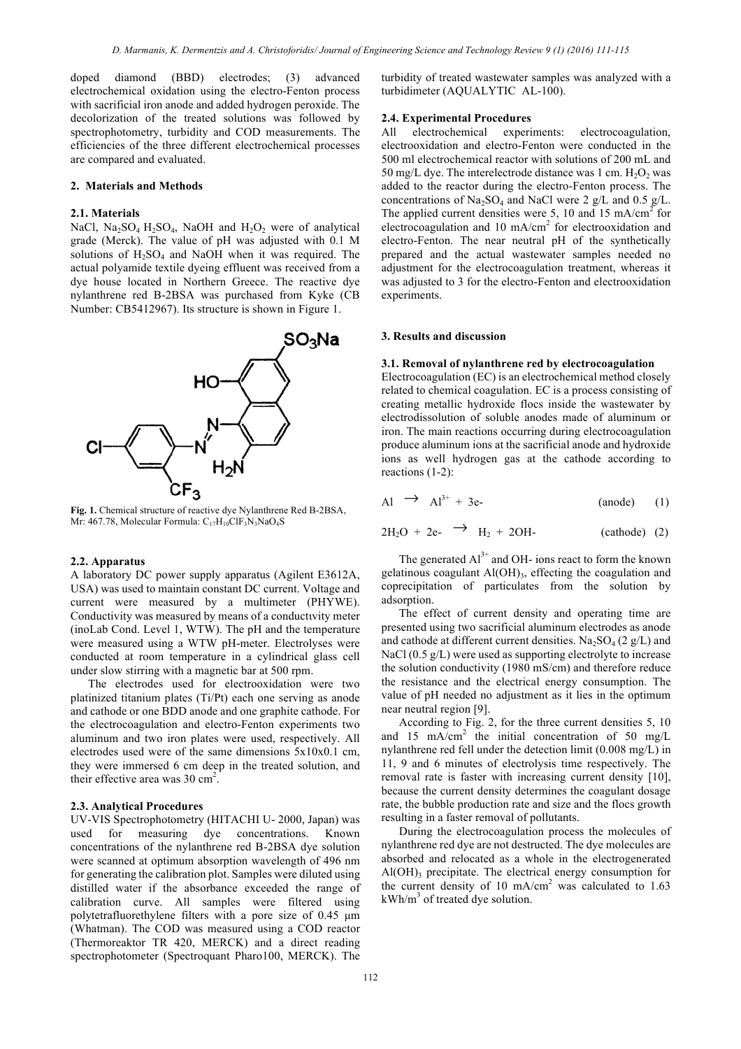doped diamond (BBD) electrodes; (3) advanced electrochemical oxidation using the electro-Fenton process with sacrificial iron anode and added hydrogen peroxide. The decolorization of the treated solutions was followed by spectrophotometry, turbidity and COD measurements. The efficiencies of the three different electrochemical processes are compared and evaluated.

#### **2. Materials and Methods**

#### **2.1. Materials**

NaCl, Na<sub>2</sub>SO<sub>4</sub> H<sub>2</sub>SO<sub>4</sub>, NaOH and H<sub>2</sub>O<sub>2</sub> were of analytical grade (Merck). The value of pH was adjusted with 0.1 M solutions of  $H_2SO_4$  and NaOH when it was required. The actual polyamide textile dyeing effluent was received from a dye house located in Northern Greece. The reactive dye nylanthrene red B-2BSA was purchased from Kyke (CB Number: CB5412967). Its structure is shown in Figure 1.



**Fig. 1.** Chemical structure of reactive dye Nylanthrene Red B-2BSA, Mr: 467.78, Molecular Formula:  $C_{17}H_{10}CIF_3N_3NaO_4S$ 

#### **2.2. Apparatus**

A laboratory DC power supply apparatus (Agilent E3612A, USA) was used to maintain constant DC current. Voltage and current were measured by a multimeter (PHYWE). Conductivity was measured by means of a conductιvity meter (inoLab Cond. Level 1, WTW). The pH and the temperature were measured using a WTW pH-meter. Electrolyses were conducted at room temperature in a cylindrical glass cell under slow stirring with a magnetic bar at 500 rpm.

The electrodes used for electrooxidation were two platinized titanium plates (Ti/Pt) each one serving as anode and cathode or one BDD anode and one graphite cathode. For the electrocoagulation and electro-Fenton experiments two aluminum and two iron plates were used, respectively. All electrodes used were of the same dimensions 5x10x0.1 cm, they were immersed 6 cm deep in the treated solution, and their effective area was  $30 \text{ cm}^2$ .

#### **2.3. Analytical Procedures**

UV-VIS Spectrophotometry (HITACHI U- 2000, Japan) was used for measuring dye concentrations. Known concentrations of the nylanthrene red B-2BSA dye solution were scanned at optimum absorption wavelength of 496 nm for generating the calibration plot. Samples were diluted using distilled water if the absorbance exceeded the range of calibration curve. All samples were filtered using polytetrafluorethylene filters with a pore size of 0.45 µm (Whatman). The COD was measured using a COD reactor (Thermoreaktor TR 420, MERCK) and a direct reading spectrophotometer (Spectroquant Pharo100, MERCK). The

turbidity of treated wastewater samples was analyzed with a turbidimeter (AQUALYTIC AL-100).

## **2.4. Experimental Procedures**

All electrochemical experiments: electrocoagulation, electrooxidation and electro-Fenton were conducted in the 500 ml electrochemical reactor with solutions of 200 mL and 50 mg/L dye. The interelectrode distance was 1 cm.  $H_2O_2$  was added to the reactor during the electro-Fenton process. The concentrations of Na<sub>2</sub>SO<sub>4</sub> and NaCl were 2 g/L and 0.5 g/L. The applied current densities were 5, 10 and 15 mA/cm<sup>2</sup> for electrocoagulation and 10 mA/cm<sup>2</sup> for electrooxidation and electro-Fenton. The near neutral pH of the synthetically prepared and the actual wastewater samples needed no adjustment for the electrocoagulation treatment, whereas it was adjusted to 3 for the electro-Fenton and electrooxidation experiments.

#### **3. Results and discussion**

### **3.1. Removal of nylanthrene red by electrocoagulation**

Electrocoagulation (EC) is an electrochemical method closely related to chemical coagulation. EC is a process consisting of creating metallic hydroxide flocs inside the wastewater by electrodissolution of soluble anodes made of aluminum or iron. The main reactions occurring during electrocoagulation produce aluminum ions at the sacrificial anode and hydroxide ions as well hydrogen gas at the cathode according to reactions (1-2):

$$
Al \rightarrow Al^{3+} + 3e- \qquad (anode) \qquad (1)
$$

$$
2H_2O + 2e^- \rightarrow H_2 + 2OH
$$
 (cathode) (2)

The generated  $Al^{3+}$  and OH- ions react to form the known gelatinous coagulant  $AI(OH)$ <sub>3</sub>, effecting the coagulation and coprecipitation of particulates from the solution by adsorption.

The effect of current density and operating time are presented using two sacrificial aluminum electrodes as anode and cathode at different current densities. Na<sub>2</sub>SO<sub>4</sub> (2 g/L) and NaCl (0.5 g/L) were used as supporting electrolyte to increase the solution conductivity (1980 mS/cm) and therefore reduce the resistance and the electrical energy consumption. The value of pH needed no adjustment as it lies in the optimum near neutral region [9].

According to Fig. 2, for the three current densities 5, 10 and 15 mA/cm<sup>2</sup> the initial concentration of 50 mg/L nylanthrene red fell under the detection limit (0.008 mg/L) in 11, 9 and 6 minutes of electrolysis time respectively. The removal rate is faster with increasing current density [10], because the current density determines the coagulant dosage rate, the bubble production rate and size and the flocs growth resulting in a faster removal of pollutants.

During the electrocoagulation process the molecules of nylanthrene red dye are not destructed. The dye molecules are absorbed and relocated as a whole in the electrogenerated  $Al(OH)$ <sub>3</sub> precipitate. The electrical energy consumption for the current density of 10 mA/cm<sup>2</sup> was calculated to  $1.63$  $kWh/m<sup>3</sup>$  of treated dye solution.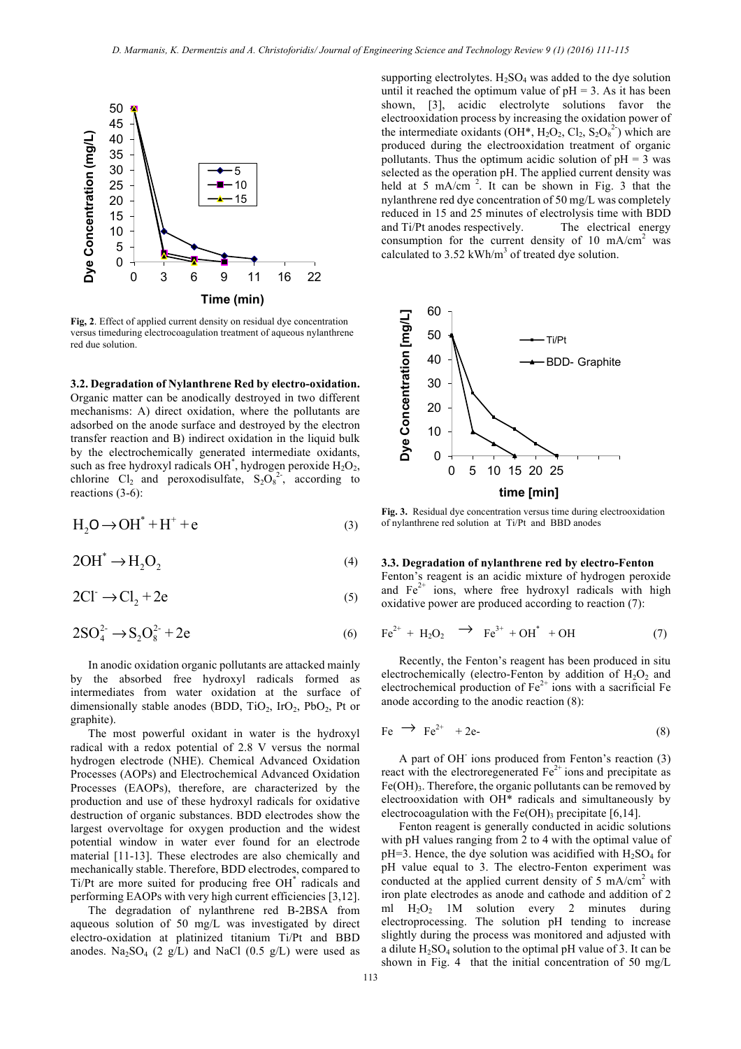

**Fig, 2**. Effect of applied current density on residual dye concentration versus timeduring electrocoagulation treatment of aqueous nylanthrene red due solution.

**3.2. Degradation of Nylanthrene Red by electro-oxidation.** 

Organic matter can be anodically destroyed in two different mechanisms: A) direct oxidation, where the pollutants are adsorbed on the anode surface and destroyed by the electron transfer reaction and B) indirect oxidation in the liquid bulk by the electrochemically generated intermediate oxidants, such as free hydroxyl radicals OH<sup>\*</sup>, hydrogen peroxide  $H_2O_2$ , chlorine  $Cl_2$  and peroxodisulfate,  $S_2O_8^2$ , according to reactions (3-6):

$$
H_2O \to OH^* + H^+ + e \tag{3}
$$

$$
2OH^* \to H_2O_2 \tag{4}
$$

$$
2Cl^- \to Cl_2 + 2e \tag{5}
$$

$$
2SO_4^{2-} \to S_2O_8^{2-} + 2e \tag{6}
$$

In anodic oxidation organic pollutants are attacked mainly by the absorbed free hydroxyl radicals formed as intermediates from water oxidation at the surface of dimensionally stable anodes (BDD, TiO<sub>2</sub>, IrO<sub>2</sub>, PbO<sub>2</sub>, Pt or graphite).

The most powerful oxidant in water is the hydroxyl radical with a redox potential of 2.8 V versus the normal hydrogen electrode (NHE). Chemical Advanced Oxidation Processes (AOPs) and Electrochemical Advanced Oxidation Processes (EAOPs), therefore, are characterized by the production and use of these hydroxyl radicals for oxidative destruction of organic substances. BDD electrodes show the largest overvoltage for oxygen production and the widest potential window in water ever found for an electrode material [11-13]. These electrodes are also chemically and mechanically stable. Therefore, BDD electrodes, compared to Ti/Pt are more suited for producing free OH<sup>\*</sup> radicals and performing EAOPs with very high current efficiencies [3,12].

The degradation of nylanthrene red B-2BSA from aqueous solution of 50 mg/L was investigated by direct electro-oxidation at platinized titanium Ti/Pt and BBD anodes. Na<sub>2</sub>SO<sub>4</sub> (2 g/L) and NaCl (0.5 g/L) were used as supporting electrolytes.  $H_2SO_4$  was added to the dye solution until it reached the optimum value of  $pH = 3$ . As it has been shown, [3], acidic electrolyte solutions favor the electrooxidation process by increasing the oxidation power of the intermediate oxidants (OH<sup>\*</sup>, H<sub>2</sub>O<sub>2</sub>, Cl<sub>2</sub>, S<sub>2</sub>O<sub>8</sub><sup>2</sup>) which are produced during the electrooxidation treatment of organic pollutants. Thus the optimum acidic solution of  $pH = 3$  was selected as the operation pH. The applied current density was held at 5 mA/cm<sup>2</sup>. It can be shown in Fig. 3 that the nylanthrene red dye concentration of 50 mg/L was completely reduced in 15 and 25 minutes of electrolysis time with BDD and Ti/Pt anodes respectively. The electrical energy consumption for the current density of 10 mA/cm<sup>2</sup> was calculated to  $3.52$  kWh/m<sup>3</sup> of treated dye solution.



**Fig. 3.** Residual dye concentration versus time during electrooxidation of nylanthrene red solution at Ti/Pt and BBD anodes

#### **3.3. Degradation of nylanthrene red by electro-Fenton**

Fenton's reagent is an acidic mixture of hydrogen peroxide and  $Fe<sup>2+</sup>$  ions, where free hydroxyl radicals with high oxidative power are produced according to reaction (7):

$$
\text{Fe}^{2+} + \text{H}_2\text{O}_2 \quad \rightarrow \quad \text{Fe}^{3+} + \text{OH}^* \quad + \text{OH} \tag{7}
$$

Recently, the Fenton's reagent has been produced in situ electrochemically (electro-Fenton by addition of  $H_2O_2$  and electrochemical production of  $Fe<sup>2+</sup>$  ions with a sacrificial Fe anode according to the anodic reaction (8):

$$
Fe \rightarrow Fe^{2+} + 2e- \tag{8}
$$

A part of OH<sup>-</sup> ions produced from Fenton's reaction (3) react with the electroregenerated  $Fe<sup>2+</sup>$  ions and precipitate as  $Fe(OH)$ <sub>3</sub>. Therefore, the organic pollutants can be removed by electrooxidation with OH\* radicals and simultaneously by electrocoagulation with the  $Fe(OH)$ <sub>3</sub> precipitate [6,14].

Fenton reagent is generally conducted in acidic solutions with pH values ranging from 2 to 4 with the optimal value of  $pH=3$ . Hence, the dye solution was acidified with  $H_2SO_4$  for pH value equal to 3. The electro-Fenton experiment was conducted at the applied current density of  $5 \text{ mA/cm}^2$  with iron plate electrodes as anode and cathode and addition of 2 ml  $H_2O_2$  1M solution every 2 minutes during electroprocessing. The solution pH tending to increase slightly during the process was monitored and adjusted with a dilute  $H_2SO_4$  solution to the optimal pH value of 3. It can be shown in Fig. 4 that the initial concentration of 50 mg/L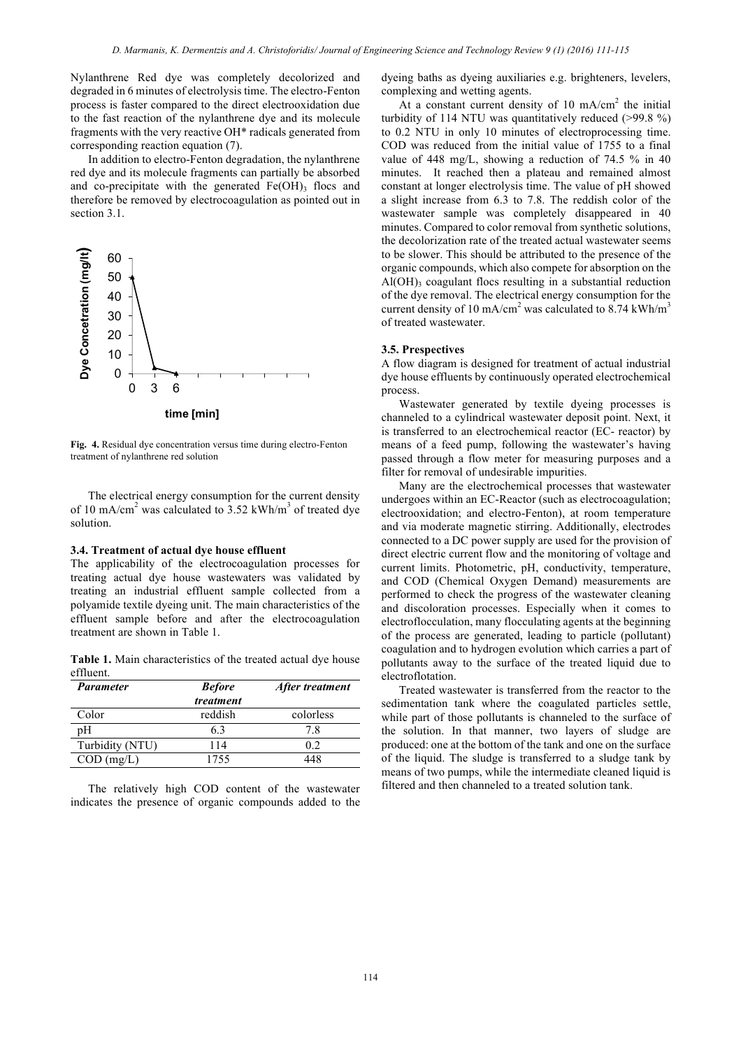Nylanthrene Red dye was completely decolorized and degraded in 6 minutes of electrolysis time. The electro-Fenton process is faster compared to the direct electrooxidation due to the fast reaction of the nylanthrene dye and its molecule fragments with the very reactive OH\* radicals generated from corresponding reaction equation (7).

In addition to electro-Fenton degradation, the nylanthrene red dye and its molecule fragments can partially be absorbed and co-precipitate with the generated  $Fe(OH)$ <sub>3</sub> flocs and therefore be removed by electrocoagulation as pointed out in section 3.1.



**Fig. 4.** Residual dye concentration versus time during electro-Fenton treatment of nylanthrene red solution

The electrical energy consumption for the current density of 10 mA/cm<sup>2</sup> was calculated to  $3.52$  kWh/m<sup>3</sup> of treated dye solution.

## **3.4. Treatment of actual dye house effluent**

The applicability of the electrocoagulation processes for treating actual dye house wastewaters was validated by treating an industrial effluent sample collected from a polyamide textile dyeing unit. The main characteristics of the effluent sample before and after the electrocoagulation treatment are shown in Table 1.

**Table 1.** Main characteristics of the treated actual dye house effluent.

| <b>Parameter</b> | <b>Before</b> | After treatment |
|------------------|---------------|-----------------|
|                  | treatment     |                 |
| Color            | reddish       | colorless       |
| pΗ               | 63            | 78              |
| Turbidity (NTU)  | 114           | 02              |
| $COD$ (mg/L)     | 1755          |                 |

The relatively high COD content of the wastewater indicates the presence of organic compounds added to the dyeing baths as dyeing auxiliaries e.g. brighteners, levelers, complexing and wetting agents.

At a constant current density of 10  $mA/cm<sup>2</sup>$  the initial turbidity of 114 NTU was quantitatively reduced (>99.8 %) to 0.2 NTU in only 10 minutes of electroprocessing time. COD was reduced from the initial value of 1755 to a final value of 448 mg/L, showing a reduction of 74.5 % in 40 minutes. It reached then a plateau and remained almost constant at longer electrolysis time. The value of pH showed a slight increase from 6.3 to 7.8. The reddish color of the wastewater sample was completely disappeared in 40 minutes. Compared to color removal from synthetic solutions, the decolorization rate of the treated actual wastewater seems to be slower. This should be attributed to the presence of the organic compounds, which also compete for absorption on the  $Al(OH)$ <sub>3</sub> coagulant flocs resulting in a substantial reduction of the dye removal. The electrical energy consumption for the current density of 10 mA/cm<sup>2</sup> was calculated to  $8.74$  kWh/m<sup>3</sup> of treated wastewater.

#### **3.5. Prespectives**

A flow diagram is designed for treatment of actual industrial dye house effluents by continuously operated electrochemical process.

Wastewater generated by textile dyeing processes is channeled to a cylindrical wastewater deposit point. Next, it is transferred to an electrochemical reactor (EC- reactor) by means of a feed pump, following the wastewater's having passed through a flow meter for measuring purposes and a filter for removal of undesirable impurities.

Many are the electrochemical processes that wastewater undergoes within an EC-Reactor (such as electrocoagulation; electrooxidation; and electro-Fenton), at room temperature and via moderate magnetic stirring. Additionally, electrodes connected to a DC power supply are used for the provision of direct electric current flow and the monitoring of voltage and current limits. Photometric, pH, conductivity, temperature, and COD (Chemical Oxygen Demand) measurements are performed to check the progress of the wastewater cleaning and discoloration processes. Especially when it comes to electroflocculation, many flocculating agents at the beginning of the process are generated, leading to particle (pollutant) coagulation and to hydrogen evolution which carries a part of pollutants away to the surface of the treated liquid due to electroflotation.

Treated wastewater is transferred from the reactor to the sedimentation tank where the coagulated particles settle, while part of those pollutants is channeled to the surface of the solution. In that manner, two layers of sludge are produced: one at the bottom of the tank and one on the surface of the liquid. The sludge is transferred to a sludge tank by means of two pumps, while the intermediate cleaned liquid is filtered and then channeled to a treated solution tank.